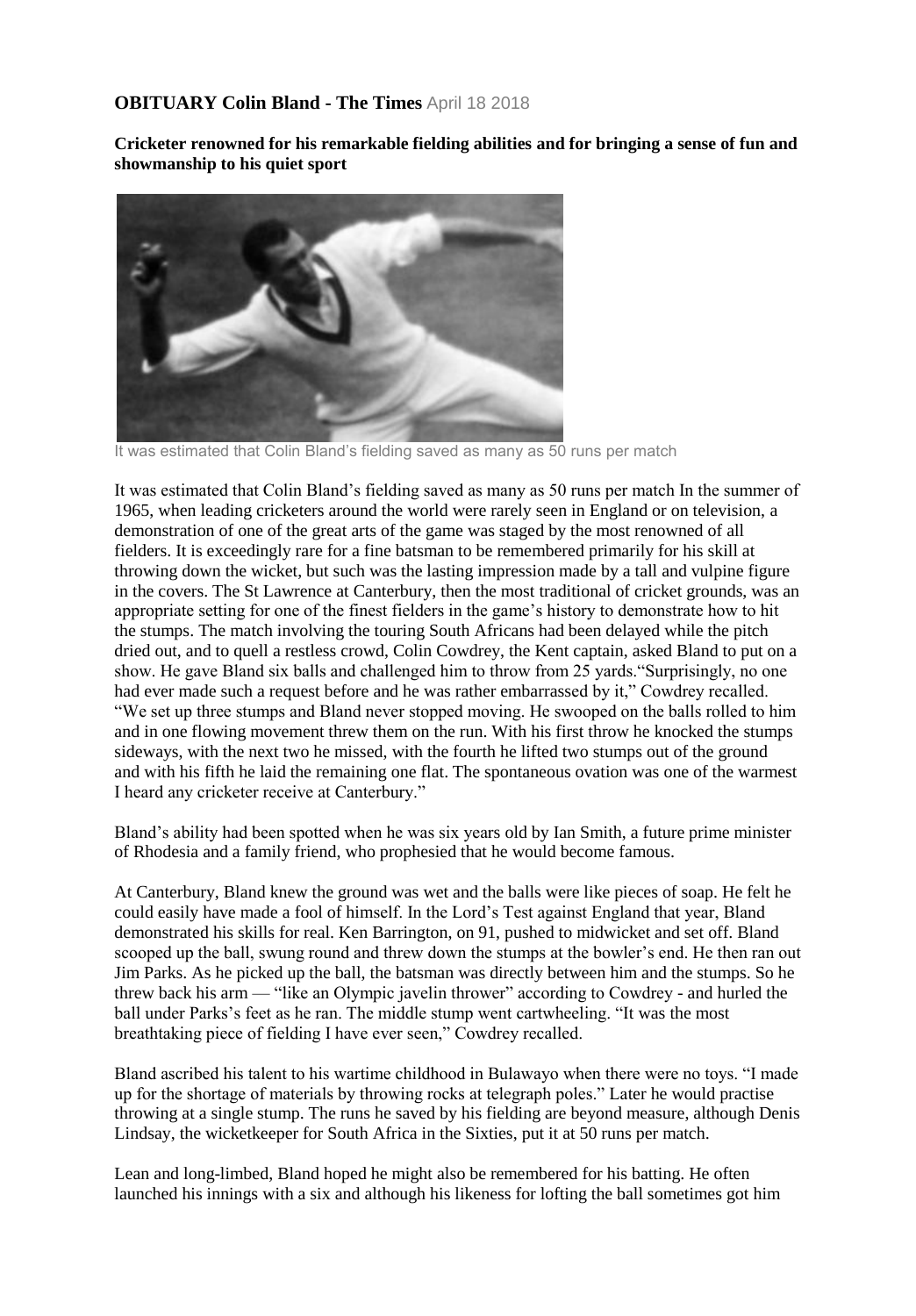## **OBITUARY Colin Bland - The Times** April 18 2018

**Cricketer renowned for his remarkable fielding abilities and for bringing a sense of fun and showmanship to his quiet sport** 



It was estimated that Colin Bland's fielding saved as many as 50 runs per match

It was estimated that Colin Bland's fielding saved as many as 50 runs per match In the summer of 1965, when leading cricketers around the world were rarely seen in England or on television, a demonstration of one of the great arts of the game was staged by the most renowned of all fielders. It is exceedingly rare for a fine batsman to be remembered primarily for his skill at throwing down the wicket, but such was the lasting impression made by a tall and vulpine figure in the covers. The St Lawrence at Canterbury, then the most traditional of cricket grounds, was an appropriate setting for one of the finest fielders in the game's history to demonstrate how to hit the stumps. The match involving the touring South Africans had been delayed while the pitch dried out, and to quell a restless crowd, Colin Cowdrey, the Kent captain, asked Bland to put on a show. He gave Bland six balls and challenged him to throw from 25 yards."Surprisingly, no one had ever made such a request before and he was rather embarrassed by it," Cowdrey recalled. "We set up three stumps and Bland never stopped moving. He swooped on the balls rolled to him and in one flowing movement threw them on the run. With his first throw he knocked the stumps sideways, with the next two he missed, with the fourth he lifted two stumps out of the ground and with his fifth he laid the remaining one flat. The spontaneous ovation was one of the warmest I heard any cricketer receive at Canterbury."

Bland's ability had been spotted when he was six years old by Ian Smith, a future prime minister of Rhodesia and a family friend, who prophesied that he would become famous.

At Canterbury, Bland knew the ground was wet and the balls were like pieces of soap. He felt he could easily have made a fool of himself. In the Lord's Test against England that year, Bland demonstrated his skills for real. Ken Barrington, on 91, pushed to midwicket and set off. Bland scooped up the ball, swung round and threw down the stumps at the bowler's end. He then ran out Jim Parks. As he picked up the ball, the batsman was directly between him and the stumps. So he threw back his arm — "like an Olympic javelin thrower" according to Cowdrey - and hurled the ball under Parks's feet as he ran. The middle stump went cartwheeling. "It was the most breathtaking piece of fielding I have ever seen," Cowdrey recalled.

Bland ascribed his talent to his wartime childhood in Bulawayo when there were no toys. "I made up for the shortage of materials by throwing rocks at telegraph poles." Later he would practise throwing at a single stump. The runs he saved by his fielding are beyond measure, although Denis Lindsay, the wicketkeeper for South Africa in the Sixties, put it at 50 runs per match.

Lean and long-limbed, Bland hoped he might also be remembered for his batting. He often launched his innings with a six and although his likeness for lofting the ball sometimes got him